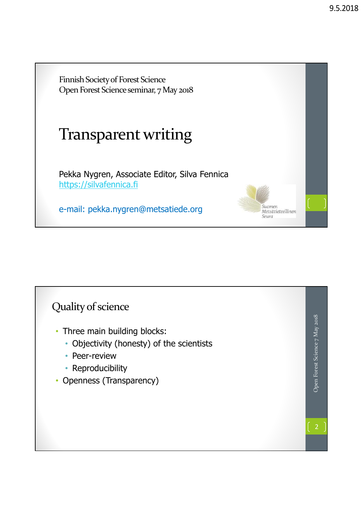Suomen Metsätieteellinen

Seura

Finnish Society of Forest Science Open Forest Science seminar, 7 May 2018

## Transparent writing

Pekka Nygren, Associate Editor, Silva Fennica https://silvafennica.fi

e-mail: pekka.nygren@metsatiede.org

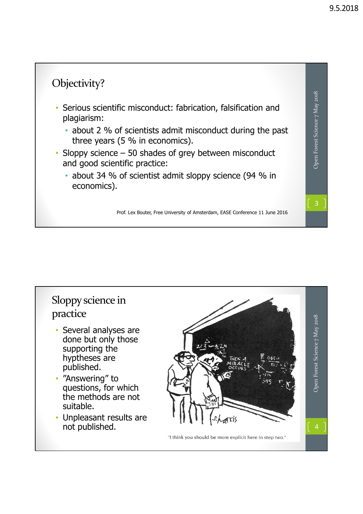

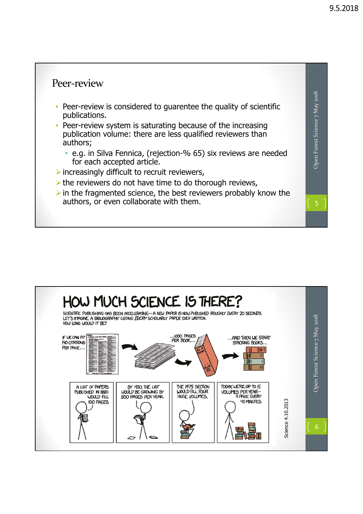## Peer‐review Open Forest Science 7 May 2018 Open Forest Science 7 May 2018 • Peer-review is considered to guarentee the quality of scientific publications. • Peer-review system is saturating because of the increasing publication volume: there are less qualified reviewers than authors; • e.g. in Silva Fennica, (rejection-% 65) six reviews are needed for each accepted article.  $\triangleright$  increasingly difficult to recruit reviewers,  $\triangleright$  the reviewers do not have time to do thorough reviews,  $\triangleright$  in the fragmented science, the best reviewers probably know the authors, or even collaborate with them.

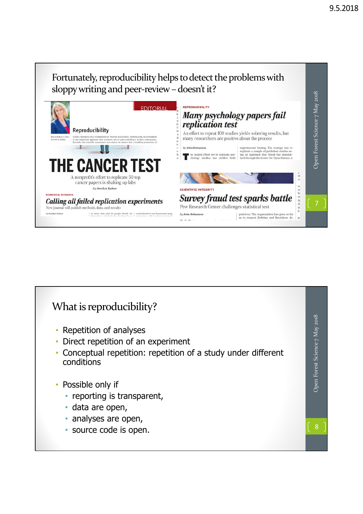## Fortunately, reproducibility helps to detect the problems with sloppy writing and peer-review - doesn't it? Open Forest Science 7 May 2018 Open Forest Science 7 May 2018 REPRODUCIBILITY **EDITORIA** Many psychology papers fail *replication test* Reproducibility An effort to repeat 100 studies yields sobering results, but SCIENCE ADVANCES ON A FO many researchers are positive about the process mists use to gain confidence in their<br>vas shaken by reports that a troubling Ш **All** u. experimental footing. The strategy was to By John Bohannon replicate a sample of published studies used in the largest effort yet to replicate psy-<br>
In an approach that Nosek has popular-chology studies has yielded both ized through the Center for Open Science, a **E CANCE** A nonprofit's effort to replicate 50 top cancer papers is shaking up labs ve re lis us fa di ga a **By Jocelyn Kaiser SCIENTIFIC INTEGRITY BIOMEDICAL RESEARCH Survey fraud test sparks battle** Calling all failed replication experiments Pew Research Center challenges statistical test New journal will publish methods, data, and results to show data and let people decide for  $\vert$  tool molecule to test becarotene's purp themselves and that's the otan base," case  $\vert$  mochanism acts "another care larm." By John Bohannor positives. The organization has gone so far<br>as to request Robbins and Kuriakose de- $- - - -$

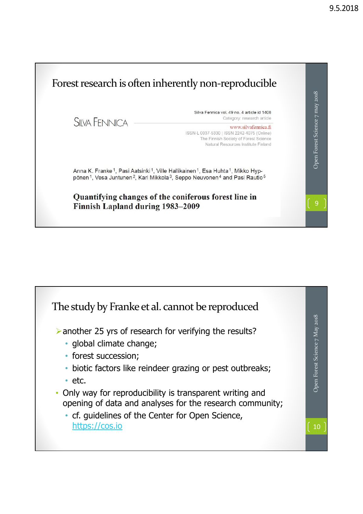

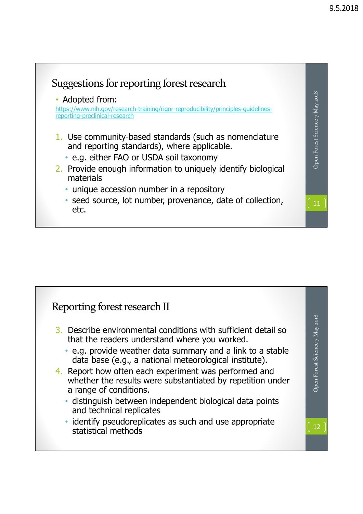

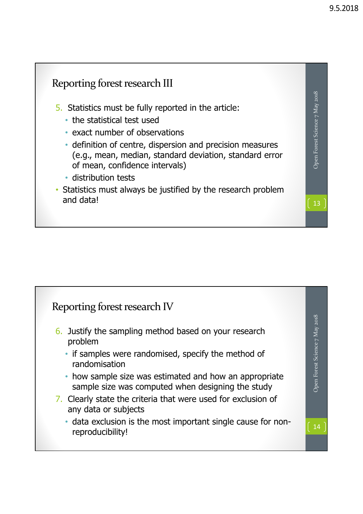

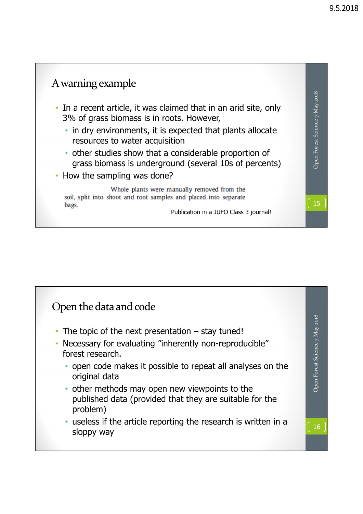